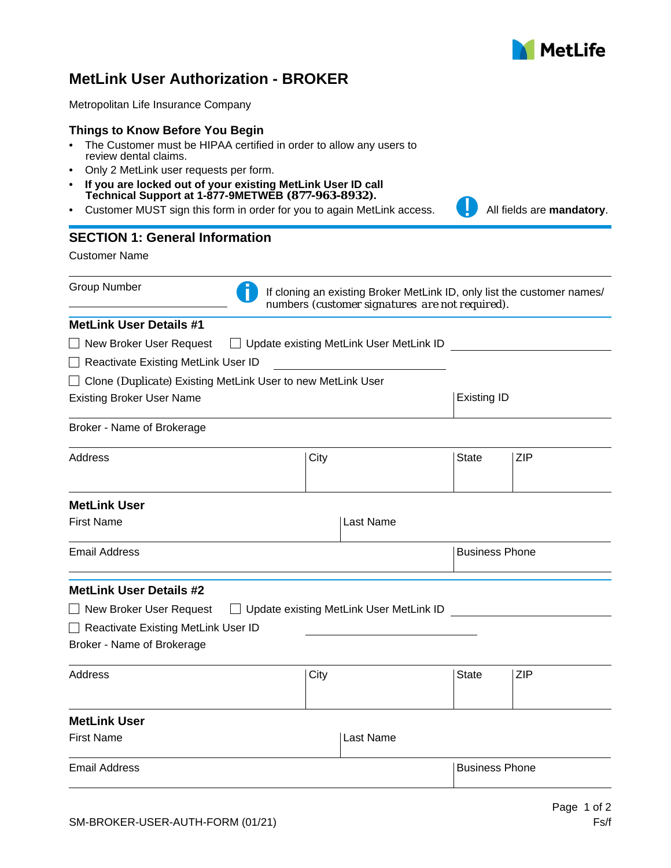

## **MetLink User Authorization - BROKER**

Metropolitan Life Insurance Company

#### **Things to Know Before You Begin**

- The Customer must be HIPAA certified in order to allow any users to review dental claims.
- Only 2 MetLink user requests per form.
- **If you are locked out of your existing MetLink User ID call Technical Support at 1-877-9METWEB** *(877-963-8932)***.**
- Customer MUST sign this form in order for you to again MetLink access. **All fields are mandatory**.

# **SECTION 1: General Information**

Customer Name

|  | <b>Group Number</b> |
|--|---------------------|
|--|---------------------|

**MetLink User Details #1**



If cloning an existing Broker MetLink ID, only list the customer names/ numbers *(customer signatures are not required).* 

| $\Box$ New Broker User Request $\Box$ Update existing MetLink User MetLink ID |                    |                            |
|-------------------------------------------------------------------------------|--------------------|----------------------------|
| Reactivate Existing MetLink User ID                                           |                    |                            |
| $\Box$ Clone (Duplicate) Existing MetLink User to new MetLink User            |                    |                            |
| <b>Existing Broker User Name</b>                                              | <b>Existing ID</b> |                            |
| Broker - Name of Brokerage                                                    |                    |                            |
| Address                                                                       | City               | <b>ZIP</b><br><b>State</b> |
| <b>MetLink User</b>                                                           |                    |                            |
| First Name                                                                    | Last Name          |                            |
| Email Address                                                                 |                    | <b>Business Phone</b>      |
|                                                                               |                    |                            |

## **MetLink User Details #2**

| □ New Broker User Request           | □ Update existing MetLink User MetLink ID |  |
|-------------------------------------|-------------------------------------------|--|
| Reactivate Existing MetLink User ID |                                           |  |

Broker - Name of Brokerage

| Address | City | <b>State</b> | <b>ZIP</b> |
|---------|------|--------------|------------|
|         |      |              |            |

### **MetLink User**

| <b>First Name</b>    | ⊺Last Name     |
|----------------------|----------------|
| <b>Email Address</b> | Business Phone |